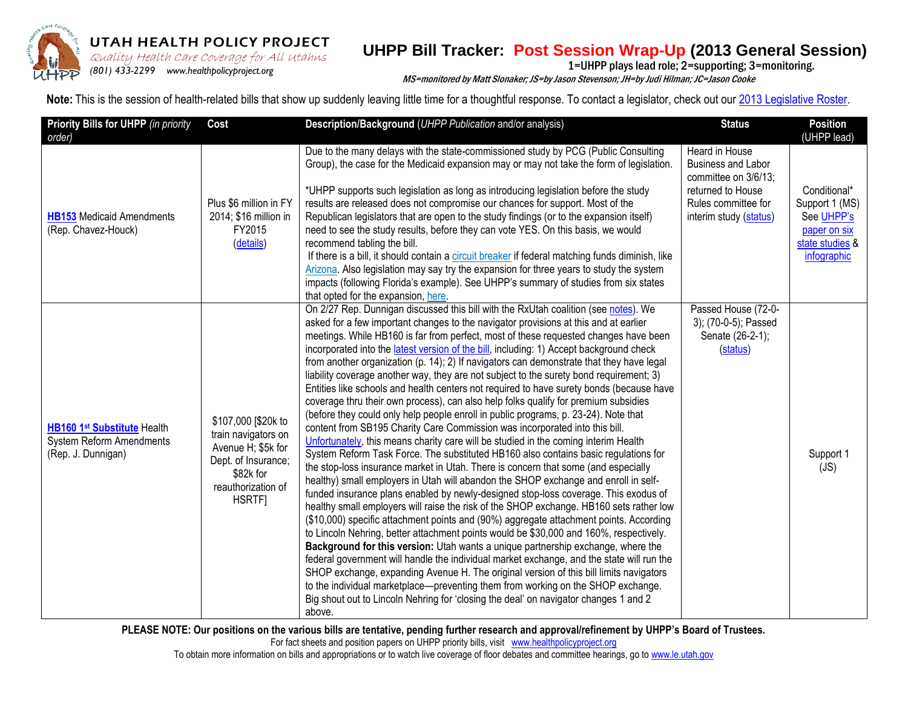

## UTAH HEALTH POLICY PROJECT

## **UHPP Bill Tracker: Post Session Wrap-Up (2013 General Session)**  $\sum_{\{801\}}$   $\sum_{\{801\}}$  Health Care Coverage for All Utahns **UTIFF DIIT HACKEL. FUSL JESSIUIT WIAP-UP (2013 GEITER DE**<br>(801) 433.2299 www.beakbpolicybroiset.org

MS=monitored by Matt Slonaker; JS=by Jason Stevenson; JH=by Judi Hilman; JC=Jason Cooke

Note: This is the session of health-related bills that show up suddenly leaving little time for a thoughtful response. To contact a legislator, check out our 2013 Legislative Roster.

| Priority Bills for UHPP (in priority<br>order)                                       | Cost                                                                                                                                 | Description/Background (UHPP Publication and/or analysis)                                                                                                                                                                                                                                                                                                                                                                                                                                                                                                                                                                                                                                                                                                                                                                                                                                                                                                                                                                                                                                                                                                                                                                                                                                                                                                                                                                                                                                                                                                                                                                                                                                                                                                                                                                                                                                                                                                                                                                                                                                                        | <b>Status</b>                                                                                                                             | <b>Position</b><br>(UHPP lead)                                                                 |
|--------------------------------------------------------------------------------------|--------------------------------------------------------------------------------------------------------------------------------------|------------------------------------------------------------------------------------------------------------------------------------------------------------------------------------------------------------------------------------------------------------------------------------------------------------------------------------------------------------------------------------------------------------------------------------------------------------------------------------------------------------------------------------------------------------------------------------------------------------------------------------------------------------------------------------------------------------------------------------------------------------------------------------------------------------------------------------------------------------------------------------------------------------------------------------------------------------------------------------------------------------------------------------------------------------------------------------------------------------------------------------------------------------------------------------------------------------------------------------------------------------------------------------------------------------------------------------------------------------------------------------------------------------------------------------------------------------------------------------------------------------------------------------------------------------------------------------------------------------------------------------------------------------------------------------------------------------------------------------------------------------------------------------------------------------------------------------------------------------------------------------------------------------------------------------------------------------------------------------------------------------------------------------------------------------------------------------------------------------------|-------------------------------------------------------------------------------------------------------------------------------------------|------------------------------------------------------------------------------------------------|
| <b>HB153</b> Medicaid Amendments<br>(Rep. Chavez-Houck)                              | Plus \$6 million in FY<br>2014; \$16 million in<br>FY2015<br>(details)                                                               | Due to the many delays with the state-commissioned study by PCG (Public Consulting<br>Group), the case for the Medicaid expansion may or may not take the form of legislation.<br>*UHPP supports such legislation as long as introducing legislation before the study<br>results are released does not compromise our chances for support. Most of the<br>Republican legislators that are open to the study findings (or to the expansion itself)<br>need to see the study results, before they can vote YES. On this basis, we would<br>recommend tabling the bill.<br>If there is a bill, it should contain a circuit breaker if federal matching funds diminish, like<br>Arizona. Also legislation may say try the expansion for three years to study the system<br>impacts (following Florida's example). See UHPP's summary of studies from six states<br>that opted for the expansion, here.                                                                                                                                                                                                                                                                                                                                                                                                                                                                                                                                                                                                                                                                                                                                                                                                                                                                                                                                                                                                                                                                                                                                                                                                               | Heard in House<br><b>Business and Labor</b><br>committee on 3/6/13;<br>returned to House<br>Rules committee for<br>interim study (status) | Conditional*<br>Support 1 (MS)<br>See UHPP's<br>paper on six<br>state studies &<br>infographic |
| HB160 1st Substitute Health<br><b>System Reform Amendments</b><br>(Rep. J. Dunnigan) | \$107,000 [\$20k to<br>train navigators on<br>Avenue H; \$5k for<br>Dept. of Insurance;<br>\$82k for<br>reauthorization of<br>HSRTF] | On 2/27 Rep. Dunnigan discussed this bill with the RxUtah coalition (see notes). We<br>asked for a few important changes to the navigator provisions at this and at earlier<br>meetings. While HB160 is far from perfect, most of these requested changes have been<br>incorporated into the latest version of the bill, including: 1) Accept background check<br>from another organization (p. 14); 2) If navigators can demonstrate that they have legal<br>liability coverage another way, they are not subject to the surety bond requirement; 3)<br>Entities like schools and health centers not required to have surety bonds (because have<br>coverage thru their own process), can also help folks qualify for premium subsidies<br>(before they could only help people enroll in public programs, p. 23-24). Note that<br>content from SB195 Charity Care Commission was incorporated into this bill.<br>Unfortunately, this means charity care will be studied in the coming interim Health<br>System Reform Task Force. The substituted HB160 also contains basic regulations for<br>the stop-loss insurance market in Utah. There is concern that some (and especially<br>healthy) small employers in Utah will abandon the SHOP exchange and enroll in self-<br>funded insurance plans enabled by newly-designed stop-loss coverage. This exodus of<br>healthy small employers will raise the risk of the SHOP exchange. HB160 sets rather low<br>(\$10,000) specific attachment points and (90%) aggregate attachment points. According<br>to Lincoln Nehring, better attachment points would be \$30,000 and 160%, respectively.<br>Background for this version: Utah wants a unique partnership exchange, where the<br>federal government will handle the individual market exchange, and the state will run the<br>SHOP exchange, expanding Avenue H. The original version of this bill limits navigators<br>to the individual marketplace—preventing them from working on the SHOP exchange.<br>Big shout out to Lincoln Nehring for 'closing the deal' on navigator changes 1 and 2<br>above. | Passed House (72-0-<br>3); (70-0-5); Passed<br>Senate (26-2-1);<br>(status)                                                               | Support 1<br>(JS)                                                                              |

**PLEASE NOTE: Our positions on the various bills are tentative, pending further research and approval/refinement by UHPP's Board of Trustees.** 

For fact sheets and position papers on UHPP priority bills, visitwww.healthpolicyproject.org

To obtain more information on bills and appropriations or to watch live coverage of floor debates and committee hearings, go to www.le.utah.gov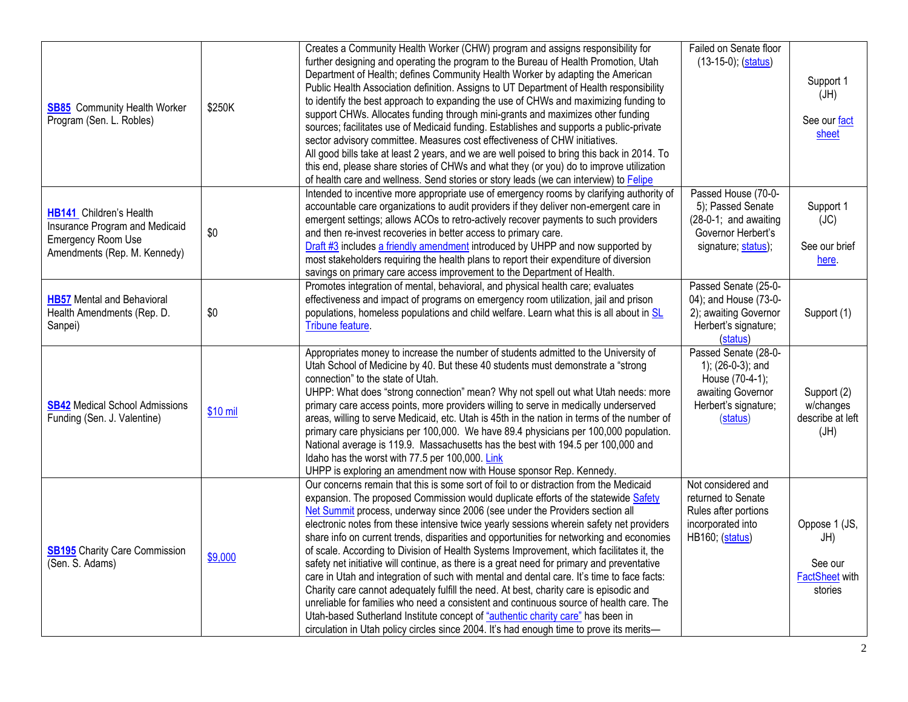| <b>SB85</b> Community Health Worker<br>Program (Sen. L. Robles)                                                               | \$250K   | Creates a Community Health Worker (CHW) program and assigns responsibility for<br>further designing and operating the program to the Bureau of Health Promotion, Utah<br>Department of Health; defines Community Health Worker by adapting the American<br>Public Health Association definition. Assigns to UT Department of Health responsibility<br>to identify the best approach to expanding the use of CHWs and maximizing funding to<br>support CHWs. Allocates funding through mini-grants and maximizes other funding<br>sources; facilitates use of Medicaid funding. Establishes and supports a public-private<br>sector advisory committee. Measures cost effectiveness of CHW initiatives.<br>All good bills take at least 2 years, and we are well poised to bring this back in 2014. To<br>this end, please share stories of CHWs and what they (or you) do to improve utilization<br>of health care and wellness. Send stories or story leads (we can interview) to <b>Felipe</b>                                                                                                                 | Failed on Senate floor<br>$(13-15-0)$ ; $(sstatus)$                                                                   | Support 1<br>(HU)<br>See our fact<br>sheet                          |
|-------------------------------------------------------------------------------------------------------------------------------|----------|------------------------------------------------------------------------------------------------------------------------------------------------------------------------------------------------------------------------------------------------------------------------------------------------------------------------------------------------------------------------------------------------------------------------------------------------------------------------------------------------------------------------------------------------------------------------------------------------------------------------------------------------------------------------------------------------------------------------------------------------------------------------------------------------------------------------------------------------------------------------------------------------------------------------------------------------------------------------------------------------------------------------------------------------------------------------------------------------------------------|-----------------------------------------------------------------------------------------------------------------------|---------------------------------------------------------------------|
| <b>HB141</b> Children's Health<br>Insurance Program and Medicaid<br><b>Emergency Room Use</b><br>Amendments (Rep. M. Kennedy) | \$0      | Intended to incentive more appropriate use of emergency rooms by clarifying authority of<br>accountable care organizations to audit providers if they deliver non-emergent care in<br>emergent settings; allows ACOs to retro-actively recover payments to such providers<br>and then re-invest recoveries in better access to primary care.<br>Draft #3 includes a friendly amendment introduced by UHPP and now supported by<br>most stakeholders requiring the health plans to report their expenditure of diversion<br>savings on primary care access improvement to the Department of Health.                                                                                                                                                                                                                                                                                                                                                                                                                                                                                                               | Passed House (70-0-<br>5); Passed Senate<br>$(28-0-1;$ and awaiting<br>Governor Herbert's<br>signature; status);      | Support 1<br>(JC)<br>See our brief<br>here.                         |
| <b>HB57</b> Mental and Behavioral<br>Health Amendments (Rep. D.<br>Sanpei)                                                    | \$0      | Promotes integration of mental, behavioral, and physical health care; evaluates<br>effectiveness and impact of programs on emergency room utilization, jail and prison<br>populations, homeless populations and child welfare. Learn what this is all about in SL<br>Tribune feature.                                                                                                                                                                                                                                                                                                                                                                                                                                                                                                                                                                                                                                                                                                                                                                                                                            | Passed Senate (25-0-<br>04); and House (73-0-<br>2); awaiting Governor<br>Herbert's signature;<br>(status)            | Support (1)                                                         |
| <b>SB42</b> Medical School Admissions<br>Funding (Sen. J. Valentine)                                                          | \$10 mil | Appropriates money to increase the number of students admitted to the University of<br>Utah School of Medicine by 40. But these 40 students must demonstrate a "strong<br>connection" to the state of Utah.<br>UHPP: What does "strong connection" mean? Why not spell out what Utah needs: more<br>primary care access points, more providers willing to serve in medically underserved<br>areas, willing to serve Medicaid, etc. Utah is 45th in the nation in terms of the number of<br>primary care physicians per 100,000. We have 89.4 physicians per 100,000 population.<br>National average is 119.9. Massachusetts has the best with 194.5 per 100,000 and<br>Idaho has the worst with 77.5 per 100,000. Link<br>UHPP is exploring an amendment now with House sponsor Rep. Kennedy.                                                                                                                                                                                                                                                                                                                    | Passed Senate (28-0-<br>1); (26-0-3); and<br>House (70-4-1);<br>awaiting Governor<br>Herbert's signature;<br>(status) | Support (2)<br>w/changes<br>describe at left<br>(HU)                |
| <b>SB195</b> Charity Care Commission<br>(Sen. S. Adams)                                                                       | \$9,000  | Our concerns remain that this is some sort of foil to or distraction from the Medicaid<br>expansion. The proposed Commission would duplicate efforts of the statewide Safety<br>Net Summit process, underway since 2006 (see under the Providers section all<br>electronic notes from these intensive twice yearly sessions wherein safety net providers<br>share info on current trends, disparities and opportunities for networking and economies<br>of scale. According to Division of Health Systems Improvement, which facilitates it, the<br>safety net initiative will continue, as there is a great need for primary and preventative<br>care in Utah and integration of such with mental and dental care. It's time to face facts:<br>Charity care cannot adequately fulfill the need. At best, charity care is episodic and<br>unreliable for families who need a consistent and continuous source of health care. The<br>Utah-based Sutherland Institute concept of "authentic charity care" has been in<br>circulation in Utah policy circles since 2004. It's had enough time to prove its merits- | Not considered and<br>returned to Senate<br>Rules after portions<br>incorporated into<br><b>HB160; (status)</b>       | Oppose 1 (JS,<br>JH)<br>See our<br><b>FactSheet with</b><br>stories |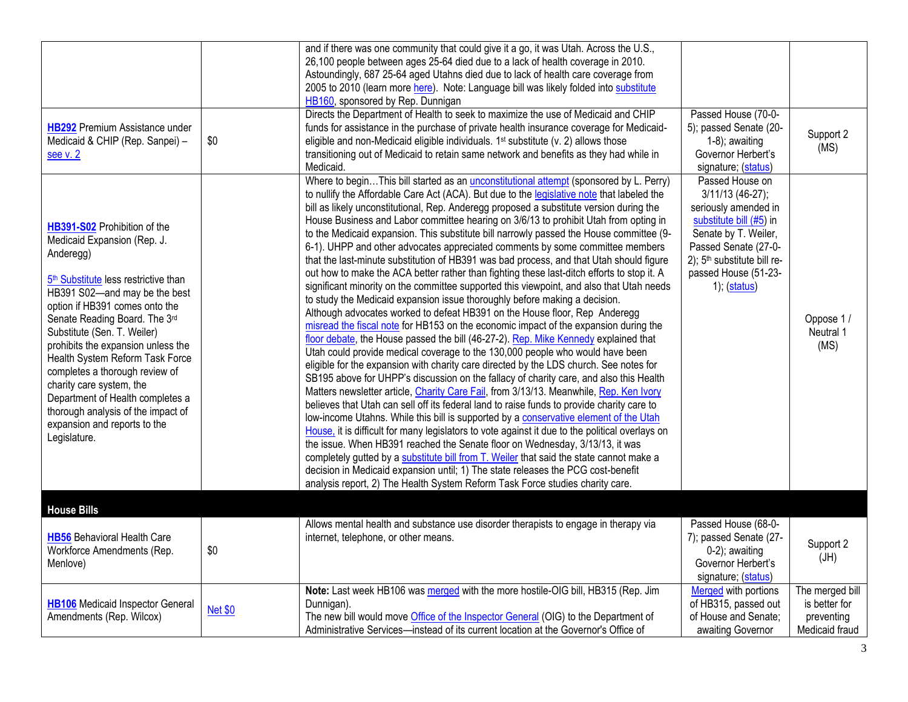|                                                                                                                                                                                                                                                                                                                                                                                                                                                                                                                                  |                | and if there was one community that could give it a go, it was Utah. Across the U.S.,<br>26,100 people between ages 25-64 died due to a lack of health coverage in 2010.<br>Astoundingly, 687 25-64 aged Utahns died due to lack of health care coverage from<br>2005 to 2010 (learn more here). Note: Language bill was likely folded into substitute<br>HB160, sponsored by Rep. Dunnigan                                                                                                                                                                                                                                                                                                                                                                                                                                                                                                                                                                                                                                                                                                                                                                                                                                                                                                                                                                                                                                                                                                                                                                                                                                                                                                                                                                                                                                                                                                                                                                                                                                                                                                                                                                                                         |                                                                                                                                                                                                                           |                                                                  |
|----------------------------------------------------------------------------------------------------------------------------------------------------------------------------------------------------------------------------------------------------------------------------------------------------------------------------------------------------------------------------------------------------------------------------------------------------------------------------------------------------------------------------------|----------------|-----------------------------------------------------------------------------------------------------------------------------------------------------------------------------------------------------------------------------------------------------------------------------------------------------------------------------------------------------------------------------------------------------------------------------------------------------------------------------------------------------------------------------------------------------------------------------------------------------------------------------------------------------------------------------------------------------------------------------------------------------------------------------------------------------------------------------------------------------------------------------------------------------------------------------------------------------------------------------------------------------------------------------------------------------------------------------------------------------------------------------------------------------------------------------------------------------------------------------------------------------------------------------------------------------------------------------------------------------------------------------------------------------------------------------------------------------------------------------------------------------------------------------------------------------------------------------------------------------------------------------------------------------------------------------------------------------------------------------------------------------------------------------------------------------------------------------------------------------------------------------------------------------------------------------------------------------------------------------------------------------------------------------------------------------------------------------------------------------------------------------------------------------------------------------------------------------|---------------------------------------------------------------------------------------------------------------------------------------------------------------------------------------------------------------------------|------------------------------------------------------------------|
| <b>HB292</b> Premium Assistance under<br>Medicaid & CHIP (Rep. Sanpei) -<br>see v. 2                                                                                                                                                                                                                                                                                                                                                                                                                                             | \$0            | Directs the Department of Health to seek to maximize the use of Medicaid and CHIP<br>funds for assistance in the purchase of private health insurance coverage for Medicaid-<br>eligible and non-Medicaid eligible individuals. 1 <sup>st</sup> substitute (v. 2) allows those<br>transitioning out of Medicaid to retain same network and benefits as they had while in<br>Medicaid.                                                                                                                                                                                                                                                                                                                                                                                                                                                                                                                                                                                                                                                                                                                                                                                                                                                                                                                                                                                                                                                                                                                                                                                                                                                                                                                                                                                                                                                                                                                                                                                                                                                                                                                                                                                                               | Passed House (70-0-<br>5); passed Senate (20-<br>$1-8$ ); awaiting<br>Governor Herbert's<br>signature; (status)                                                                                                           | Support 2<br>(MS)                                                |
| HB391-S02 Prohibition of the<br>Medicaid Expansion (Rep. J.<br>Anderegg)<br>5 <sup>th</sup> Substitute less restrictive than<br>HB391 S02-and may be the best<br>option if HB391 comes onto the<br>Senate Reading Board. The 3rd<br>Substitute (Sen. T. Weiler)<br>prohibits the expansion unless the<br>Health System Reform Task Force<br>completes a thorough review of<br>charity care system, the<br>Department of Health completes a<br>thorough analysis of the impact of<br>expansion and reports to the<br>Legislature. |                | Where to beginThis bill started as an <i>unconstitutional attempt</i> (sponsored by L. Perry)<br>to nullify the Affordable Care Act (ACA). But due to the legislative note that labeled the<br>bill as likely unconstitutional, Rep. Anderegg proposed a substitute version during the<br>House Business and Labor committee hearing on 3/6/13 to prohibit Utah from opting in<br>to the Medicaid expansion. This substitute bill narrowly passed the House committee (9-<br>6-1). UHPP and other advocates appreciated comments by some committee members<br>that the last-minute substitution of HB391 was bad process, and that Utah should figure<br>out how to make the ACA better rather than fighting these last-ditch efforts to stop it. A<br>significant minority on the committee supported this viewpoint, and also that Utah needs<br>to study the Medicaid expansion issue thoroughly before making a decision.<br>Although advocates worked to defeat HB391 on the House floor, Rep Anderegg<br>misread the fiscal note for HB153 on the economic impact of the expansion during the<br>floor debate, the House passed the bill (46-27-2). Rep. Mike Kennedy explained that<br>Utah could provide medical coverage to the 130,000 people who would have been<br>eligible for the expansion with charity care directed by the LDS church. See notes for<br>SB195 above for UHPP's discussion on the fallacy of charity care, and also this Health<br>Matters newsletter article, Charity Care Fail, from 3/13/13. Meanwhile, Rep. Ken Ivory<br>believes that Utah can sell off its federal land to raise funds to provide charity care to<br>low-income Utahns. While this bill is supported by a conservative element of the Utah<br>House, it is difficult for many legislators to vote against it due to the political overlays on<br>the issue. When HB391 reached the Senate floor on Wednesday, 3/13/13, it was<br>completely gutted by a substitute bill from T. Weiler that said the state cannot make a<br>decision in Medicaid expansion until; 1) The state releases the PCG cost-benefit<br>analysis report, 2) The Health System Reform Task Force studies charity care. | Passed House on<br>3/11/13 (46-27);<br>seriously amended in<br>substitute bill (#5) in<br>Senate by T. Weiler,<br>Passed Senate (27-0-<br>2); 5 <sup>th</sup> substitute bill re-<br>passed House (51-23-<br>1); (status) | Oppose 1/<br>Neutral 1<br>(MS)                                   |
| <b>House Bills</b>                                                                                                                                                                                                                                                                                                                                                                                                                                                                                                               |                |                                                                                                                                                                                                                                                                                                                                                                                                                                                                                                                                                                                                                                                                                                                                                                                                                                                                                                                                                                                                                                                                                                                                                                                                                                                                                                                                                                                                                                                                                                                                                                                                                                                                                                                                                                                                                                                                                                                                                                                                                                                                                                                                                                                                     |                                                                                                                                                                                                                           |                                                                  |
| <b>HB56</b> Behavioral Health Care<br>Workforce Amendments (Rep.<br>Menlove)                                                                                                                                                                                                                                                                                                                                                                                                                                                     | \$0            | Allows mental health and substance use disorder therapists to engage in therapy via<br>internet, telephone, or other means.                                                                                                                                                                                                                                                                                                                                                                                                                                                                                                                                                                                                                                                                                                                                                                                                                                                                                                                                                                                                                                                                                                                                                                                                                                                                                                                                                                                                                                                                                                                                                                                                                                                                                                                                                                                                                                                                                                                                                                                                                                                                         | Passed House (68-0-<br>7); passed Senate (27-<br>$0-2$ ; awaiting<br>Governor Herbert's<br>signature; (status)                                                                                                            | Support 2<br>(HU)                                                |
| HB106 Medicaid Inspector General<br>Amendments (Rep. Wilcox)                                                                                                                                                                                                                                                                                                                                                                                                                                                                     | <b>Net \$0</b> | Note: Last week HB106 was merged with the more hostile-OIG bill, HB315 (Rep. Jim<br>Dunnigan).<br>The new bill would move Office of the Inspector General (OIG) to the Department of<br>Administrative Services-instead of its current location at the Governor's Office of                                                                                                                                                                                                                                                                                                                                                                                                                                                                                                                                                                                                                                                                                                                                                                                                                                                                                                                                                                                                                                                                                                                                                                                                                                                                                                                                                                                                                                                                                                                                                                                                                                                                                                                                                                                                                                                                                                                         | Merged with portions<br>of HB315, passed out<br>of House and Senate;<br>awaiting Governor                                                                                                                                 | The merged bill<br>is better for<br>preventing<br>Medicaid fraud |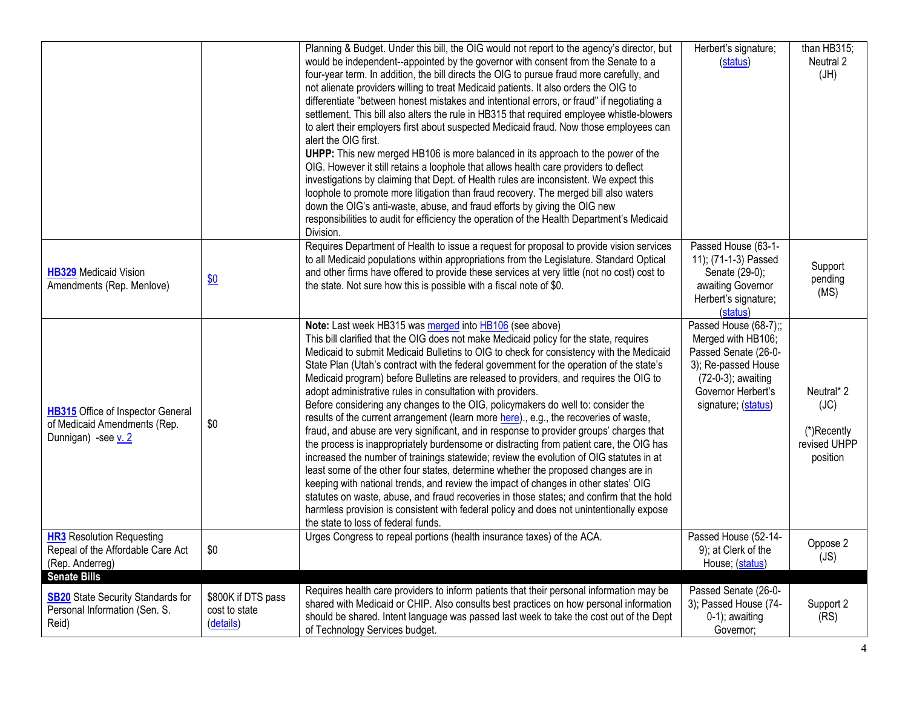|                                                                                                           |                                                  | Planning & Budget. Under this bill, the OIG would not report to the agency's director, but<br>would be independent--appointed by the governor with consent from the Senate to a<br>four-year term. In addition, the bill directs the OIG to pursue fraud more carefully, and<br>not alienate providers willing to treat Medicaid patients. It also orders the OIG to<br>differentiate "between honest mistakes and intentional errors, or fraud" if negotiating a<br>settlement. This bill also alters the rule in HB315 that required employee whistle-blowers<br>to alert their employers first about suspected Medicaid fraud. Now those employees can<br>alert the OIG first.<br>UHPP: This new merged HB106 is more balanced in its approach to the power of the<br>OIG. However it still retains a loophole that allows health care providers to deflect<br>investigations by claiming that Dept. of Health rules are inconsistent. We expect this<br>loophole to promote more litigation than fraud recovery. The merged bill also waters<br>down the OIG's anti-waste, abuse, and fraud efforts by giving the OIG new<br>responsibilities to audit for efficiency the operation of the Health Department's Medicaid<br>Division.                                                                                                                                   | Herbert's signature;<br>(status)                                                                                                                              | than HB315;<br>Neutral 2<br>(HU)                              |
|-----------------------------------------------------------------------------------------------------------|--------------------------------------------------|----------------------------------------------------------------------------------------------------------------------------------------------------------------------------------------------------------------------------------------------------------------------------------------------------------------------------------------------------------------------------------------------------------------------------------------------------------------------------------------------------------------------------------------------------------------------------------------------------------------------------------------------------------------------------------------------------------------------------------------------------------------------------------------------------------------------------------------------------------------------------------------------------------------------------------------------------------------------------------------------------------------------------------------------------------------------------------------------------------------------------------------------------------------------------------------------------------------------------------------------------------------------------------------------------------------------------------------------------------------------------|---------------------------------------------------------------------------------------------------------------------------------------------------------------|---------------------------------------------------------------|
| <b>HB329</b> Medicaid Vision<br>Amendments (Rep. Menlove)                                                 | $\underline{\$0}$                                | Requires Department of Health to issue a request for proposal to provide vision services<br>to all Medicaid populations within appropriations from the Legislature. Standard Optical<br>and other firms have offered to provide these services at very little (not no cost) cost to<br>the state. Not sure how this is possible with a fiscal note of \$0.                                                                                                                                                                                                                                                                                                                                                                                                                                                                                                                                                                                                                                                                                                                                                                                                                                                                                                                                                                                                                 | Passed House (63-1-<br>11); (71-1-3) Passed<br>Senate (29-0);<br>awaiting Governor<br>Herbert's signature;<br>(status)                                        | Support<br>pending<br>(MS)                                    |
| <b>HB315</b> Office of Inspector General<br>of Medicaid Amendments (Rep.<br>Dunnigan) -see v. 2           | \$0                                              | Note: Last week HB315 was merged into HB106 (see above)<br>This bill clarified that the OIG does not make Medicaid policy for the state, requires<br>Medicaid to submit Medicaid Bulletins to OIG to check for consistency with the Medicaid<br>State Plan (Utah's contract with the federal government for the operation of the state's<br>Medicaid program) before Bulletins are released to providers, and requires the OIG to<br>adopt administrative rules in consultation with providers.<br>Before considering any changes to the OIG, policymakers do well to: consider the<br>results of the current arrangement (learn more here)., e.g., the recoveries of waste,<br>fraud, and abuse are very significant, and in response to provider groups' charges that<br>the process is inappropriately burdensome or distracting from patient care, the OIG has<br>increased the number of trainings statewide; review the evolution of OIG statutes in at<br>least some of the other four states, determine whether the proposed changes are in<br>keeping with national trends, and review the impact of changes in other states' OIG<br>statutes on waste, abuse, and fraud recoveries in those states; and confirm that the hold<br>harmless provision is consistent with federal policy and does not unintentionally expose<br>the state to loss of federal funds. | Passed House (68-7);;<br>Merged with HB106;<br>Passed Senate (26-0-<br>3); Re-passed House<br>(72-0-3); awaiting<br>Governor Herbert's<br>signature; (status) | Neutral* 2<br>(JC)<br>(*)Recently<br>revised UHPP<br>position |
| <b>HR3</b> Resolution Requesting<br>Repeal of the Affordable Care Act<br>(Rep. Anderreg)                  | \$0                                              | Urges Congress to repeal portions (health insurance taxes) of the ACA.                                                                                                                                                                                                                                                                                                                                                                                                                                                                                                                                                                                                                                                                                                                                                                                                                                                                                                                                                                                                                                                                                                                                                                                                                                                                                                     | Passed House (52-14-<br>9); at Clerk of the<br>House; (status)                                                                                                | Oppose 2<br>(JS)                                              |
| <b>Senate Bills</b><br><b>SB20</b> State Security Standards for<br>Personal Information (Sen. S.<br>Reid) | \$800K if DTS pass<br>cost to state<br>(details) | Requires health care providers to inform patients that their personal information may be<br>shared with Medicaid or CHIP. Also consults best practices on how personal information<br>should be shared. Intent language was passed last week to take the cost out of the Dept<br>of Technology Services budget.                                                                                                                                                                                                                                                                                                                                                                                                                                                                                                                                                                                                                                                                                                                                                                                                                                                                                                                                                                                                                                                            | Passed Senate (26-0-<br>3); Passed House (74-<br>$0-1$ ; awaiting<br>Governor;                                                                                | Support 2<br>(RS)                                             |